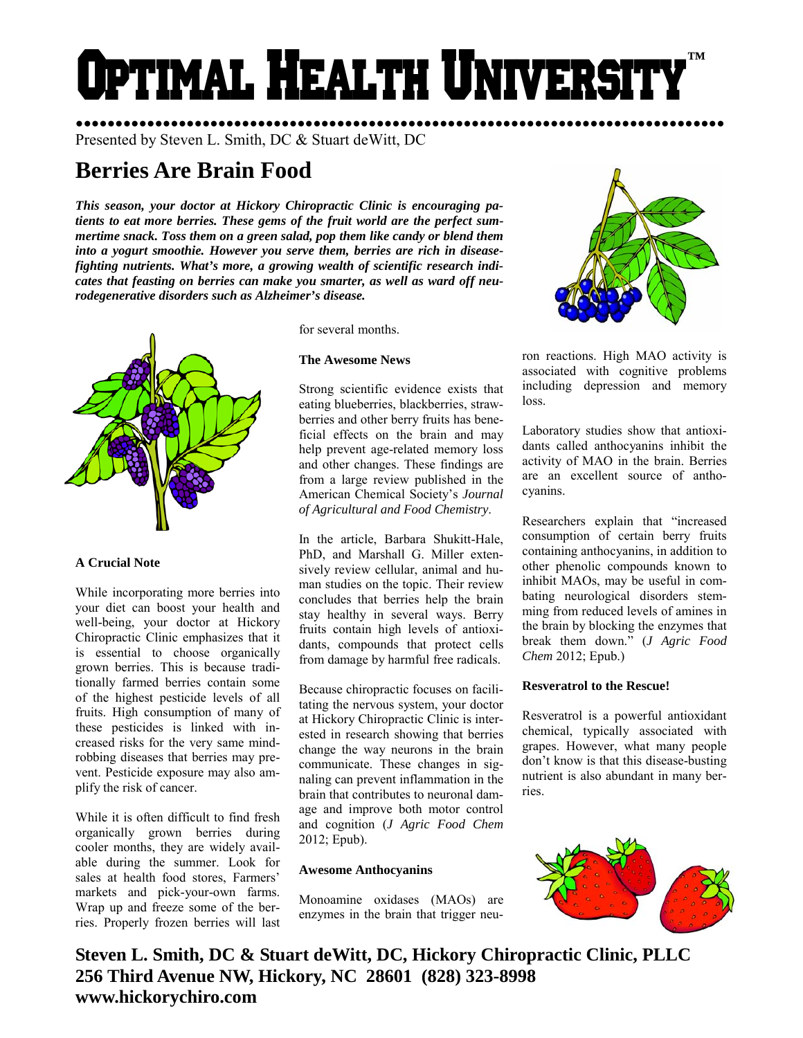# Optimal Health Universit **™**

Presented by Steven L. Smith, DC & Stuart deWitt, DC

# **Berries Are Brain Food**

*This season, your doctor at Hickory Chiropractic Clinic is encouraging patients to eat more berries. These gems of the fruit world are the perfect summertime snack. Toss them on a green salad, pop them like candy or blend them into a yogurt smoothie. However you serve them, berries are rich in diseasefighting nutrients. What's more, a growing wealth of scientific research indicates that feasting on berries can make you smarter, as well as ward off neurodegenerative disorders such as Alzheimer's disease.* 



# **A Crucial Note**

While incorporating more berries into your diet can boost your health and well-being, your doctor at Hickory Chiropractic Clinic emphasizes that it is essential to choose organically grown berries. This is because traditionally farmed berries contain some of the highest pesticide levels of all fruits. High consumption of many of these pesticides is linked with increased risks for the very same mindrobbing diseases that berries may prevent. Pesticide exposure may also amplify the risk of cancer.

While it is often difficult to find fresh organically grown berries during cooler months, they are widely available during the summer. Look for sales at health food stores, Farmers' markets and pick-your-own farms. Wrap up and freeze some of the berries. Properly frozen berries will last for several months.

# **The Awesome News**

Strong scientific evidence exists that eating blueberries, blackberries, strawberries and other berry fruits has beneficial effects on the brain and may help prevent age-related memory loss and other changes. These findings are from a large review published in the American Chemical Society's *Journal of Agricultural and Food Chemistry*.

In the article, Barbara Shukitt-Hale, PhD, and Marshall G. Miller extensively review cellular, animal and human studies on the topic. Their review concludes that berries help the brain stay healthy in several ways. Berry fruits contain high levels of antioxidants, compounds that protect cells from damage by harmful free radicals.

Because chiropractic focuses on facilitating the nervous system, your doctor at Hickory Chiropractic Clinic is interested in research showing that berries change the way neurons in the brain communicate. These changes in signaling can prevent inflammation in the brain that contributes to neuronal damage and improve both motor control and cognition (*J Agric Food Chem*  2012; Epub).

# **Awesome Anthocyanins**

Monoamine oxidases (MAOs) are enzymes in the brain that trigger neu-



●●●●●●●●●●●●●●●●●●●●●●●●●●●●●●●●●●●●●●●●●●●●●●●●●●●●●●●●●●●●●●●●●●●●●●●●●●●●●●●●●●

ron reactions. High MAO activity is associated with cognitive problems including depression and memory loss.

Laboratory studies show that antioxidants called anthocyanins inhibit the activity of MAO in the brain. Berries are an excellent source of anthocyanins.

Researchers explain that "increased consumption of certain berry fruits containing anthocyanins, in addition to other phenolic compounds known to inhibit MAOs, may be useful in combating neurological disorders stemming from reduced levels of amines in the brain by blocking the enzymes that break them down." (*J Agric Food Chem* 2012; Epub.)

# **Resveratrol to the Rescue!**

Resveratrol is a powerful antioxidant chemical, typically associated with grapes. However, what many people don't know is that this disease-busting nutrient is also abundant in many berries.



**Steven L. Smith, DC & Stuart deWitt, DC, Hickory Chiropractic Clinic, PLLC 256 Third Avenue NW, Hickory, NC 28601 (828) 323-8998 www.hickorychiro.com**